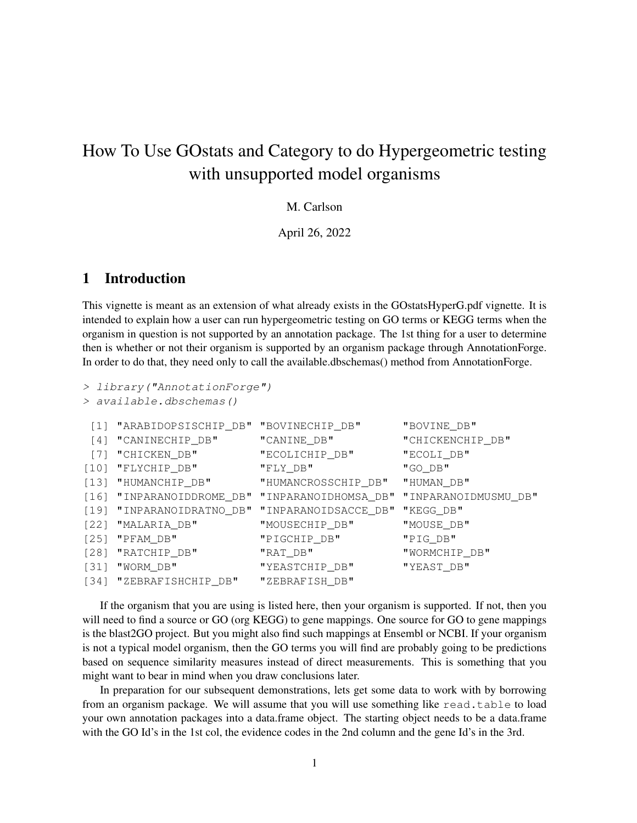# How To Use GOstats and Category to do Hypergeometric testing with unsupported model organisms

M. Carlson

April 26, 2022

## 1 Introduction

This vignette is meant as an extension of what already exists in the GOstatsHyperG.pdf vignette. It is intended to explain how a user can run hypergeometric testing on GO terms or KEGG terms when the organism in question is not supported by an annotation package. The 1st thing for a user to determine then is whether or not their organism is supported by an organism package through AnnotationForge. In order to do that, they need only to call the available.dbschemas() method from AnnotationForge.

```
> library("AnnotationForge")
```

```
> available.dbschemas()
```

| [1] "ARABIDOPSISCHIP_DB" "BOVINECHIP_DB" |                                                                     | "BOVINE_DB"      |
|------------------------------------------|---------------------------------------------------------------------|------------------|
| [4] "CANINECHIP_DB"                      | "CANINE_DB"                                                         | "CHICKENCHIP_DB" |
| [7] "CHICKEN_DB"                         | "ECOLICHIP_DB"                                                      | "ECOLI_DB"       |
| $[10]$ "FLYCHIP_DB"                      | "FLY_DB"                                                            | "GO_DB"          |
| [13] "HUMANCHIP_DB"                      | "HUMANCROSSCHIP_DB" "HUMAN_DB"                                      |                  |
|                                          | [16] "INPARANOIDDROME_DB" "INPARANOIDHOMSA_DB" "INPARANOIDMUSMU_DB" |                  |
|                                          | [19] "INPARANOIDRATNO_DB" "INPARANOIDSACCE_DB" "KEGG_DB"            |                  |
| $[22]$ "MALARIA_DB"                      | "MOUSECHIP_DB"                                                      | "MOUSE_DB"       |
| [25] "PFAM_DB"                           | "PIGCHIP_DB"                                                        | "PIG_DB"         |
| [28] "RATCHIP_DB"                        | "RAT_DB"                                                            | "WORMCHIP_DB"    |
| [31] "WORM_DB"                           | "YEASTCHIP_DB"                                                      | "YEAST_DB"       |
| [34] "ZEBRAFISHCHIP_DB"                  | "ZEBRAFISH_DB"                                                      |                  |

If the organism that you are using is listed here, then your organism is supported. If not, then you will need to find a source or GO (org KEGG) to gene mappings. One source for GO to gene mappings is the blast2GO project. But you might also find such mappings at Ensembl or NCBI. If your organism is not a typical model organism, then the GO terms you will find are probably going to be predictions based on sequence similarity measures instead of direct measurements. This is something that you might want to bear in mind when you draw conclusions later.

In preparation for our subsequent demonstrations, lets get some data to work with by borrowing from an organism package. We will assume that you will use something like read.table to load your own annotation packages into a data.frame object. The starting object needs to be a data.frame with the GO Id's in the 1st col, the evidence codes in the 2nd column and the gene Id's in the 3rd.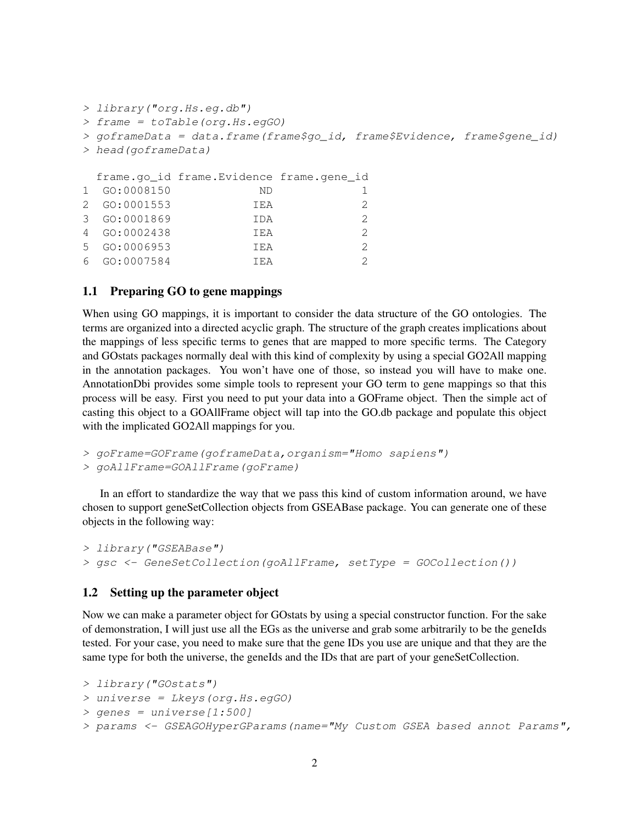```
> library("org.Hs.eg.db")
> frame = toTable(org.Hs.egGO)
> goframeData = data.frame(frame$go_id, frame$Evidence, frame$gene_id)
> head(goframeData)
 frame.go_id frame.Evidence frame.gene_id
1 GO:0008150 ND 1
2 GO:0001553 IEA 2
3 GO:0001869 IDA 2
4 GO:0002438 IEA 2
5 GO:0006953 IEA 2
6 GO:0007584 IEA 2
```
### 1.1 Preparing GO to gene mappings

When using GO mappings, it is important to consider the data structure of the GO ontologies. The terms are organized into a directed acyclic graph. The structure of the graph creates implications about the mappings of less specific terms to genes that are mapped to more specific terms. The Category and GOstats packages normally deal with this kind of complexity by using a special GO2All mapping in the annotation packages. You won't have one of those, so instead you will have to make one. AnnotationDbi provides some simple tools to represent your GO term to gene mappings so that this process will be easy. First you need to put your data into a GOFrame object. Then the simple act of casting this object to a GOAllFrame object will tap into the GO.db package and populate this object with the implicated GO2All mappings for you.

```
> goFrame=GOFrame(goframeData,organism="Homo sapiens")
```

```
> goAllFrame=GOAllFrame(goFrame)
```
In an effort to standardize the way that we pass this kind of custom information around, we have chosen to support geneSetCollection objects from GSEABase package. You can generate one of these objects in the following way:

```
> library("GSEABase")
> gsc <- GeneSetCollection(goAllFrame, setType = GOCollection())
```
#### 1.2 Setting up the parameter object

Now we can make a parameter object for GOstats by using a special constructor function. For the sake of demonstration, I will just use all the EGs as the universe and grab some arbitrarily to be the geneIds tested. For your case, you need to make sure that the gene IDs you use are unique and that they are the same type for both the universe, the geneIds and the IDs that are part of your geneSetCollection.

```
> library("GOstats")
> universe = Lkeys(org.Hs.egGO)
> genes = universe[1:500]> params <- GSEAGOHyperGParams(name="My Custom GSEA based annot Params",
```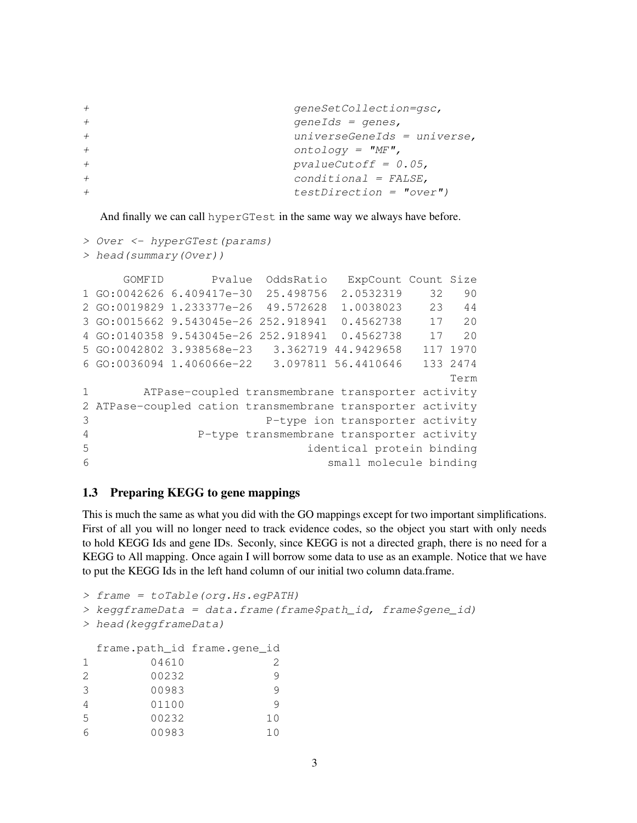```
+ geneSetCollection=gsc,
+ geneIds = genes,
+ universeGeneIds = universe,
+ ontology = "MF",
+ pvalueCutoff = 0.05,
+ conditional = FALSE,
+ testDirection = "over")
```
And finally we can call hyperGTest in the same way we always have before.

```
> Over <- hyperGTest(params)
```

```
> head(summary(Over))
```

```
GOMFID Pvalue OddsRatio ExpCount Count Size
1 GO:0042626 6.409417e-30 25.498756 2.0532319 32 90
2 GO:0019829 1.233377e-26 49.572628 1.0038023 23 44
3 GO:0015662 9.543045e-26 252.918941 0.4562738 17 20
4 GO:0140358 9.543045e-26 252.918941 0.4562738 17 20
5 GO:0042802 3.938568e-23 3.362719 44.9429658 117 1970
6 GO:0036094 1.406066e-22 3.097811 56.4410646 133 2474
                                           Term
1 ATPase-coupled transmembrane transporter activity
2 ATPase-coupled cation transmembrane transporter activity
3 P-type ion transporter activity
4 P-type transmembrane transporter activity
5 identical protein binding
6 small molecule binding
```
### 1.3 Preparing KEGG to gene mappings

This is much the same as what you did with the GO mappings except for two important simplifications. First of all you will no longer need to track evidence codes, so the object you start with only needs to hold KEGG Ids and gene IDs. Seconly, since KEGG is not a directed graph, there is no need for a KEGG to All mapping. Once again I will borrow some data to use as an example. Notice that we have to put the KEGG Ids in the left hand column of our initial two column data.frame.

```
> frame = toTable(org.Hs.egPATH)
> keggframeData = data.frame(frame$path_id, frame$gene_id)
> head(keggframeData)
 frame.path_id frame.gene_id
1 04610 2
2 00232 9
3 00983 9
4 01100 9
5 00232 10
6 00983 10
```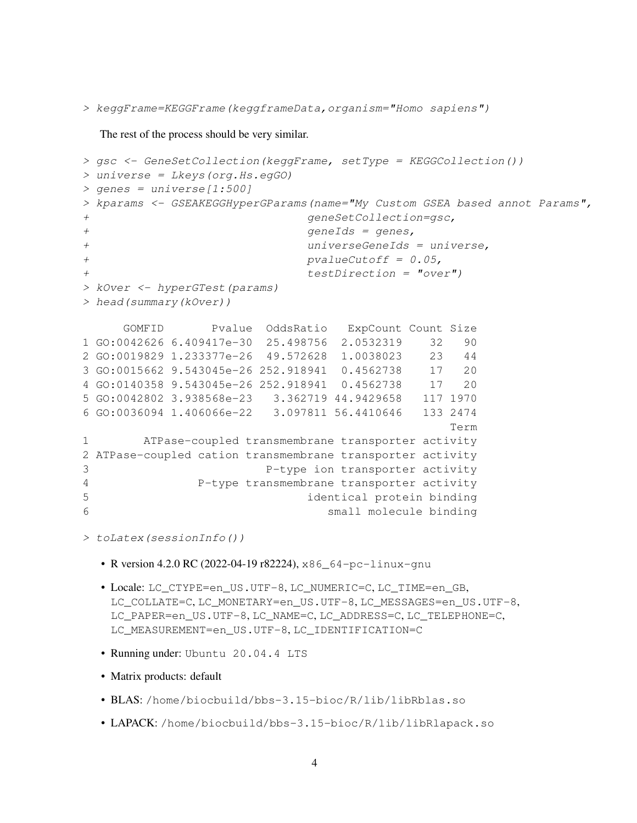> keggFrame=KEGGFrame(keggframeData,organism="Homo sapiens")

The rest of the process should be very similar.

```
> gsc <- GeneSetCollection(keggFrame, setType = KEGGCollection())
> universe = Lkeys(org.Hs.egGO)
> genes = universe[1:500]
> kparams <- GSEAKEGGHyperGParams(name="My Custom GSEA based annot Params",
+ geneSetCollection=gsc,
+ geneIds = genes,
+ universeGeneIds = universe,
+ pvalueCutoff = 0.05,
+ testDirection = "over")
> kOver <- hyperGTest(params)
> head(summary(kOver))
    GOMFID Pvalue OddsRatio ExpCount Count Size
1 GO:0042626 6.409417e-30 25.498756 2.0532319 32 90
2 GO:0019829 1.233377e-26 49.572628 1.0038023 23 44
3 GO:0015662 9.543045e-26 252.918941 0.4562738 17 20
4 GO:0140358 9.543045e-26 252.918941 0.4562738 17 20
5 GO:0042802 3.938568e-23 3.362719 44.9429658 117 1970
6 GO:0036094 1.406066e-22 3.097811 56.4410646 133 2474
                                         Term
1 ATPase-coupled transmembrane transporter activity
2 ATPase-coupled cation transmembrane transporter activity
3 P-type ion transporter activity
4 P-type transmembrane transporter activity
5 identical protein binding
6 small molecule binding
> toLatex(sessionInfo())
```
- R version 4.2.0 RC (2022-04-19 r82224), x86\_64-pc-linux-qnu
- Locale: LC\_CTYPE=en\_US.UTF-8, LC\_NUMERIC=C, LC\_TIME=en\_GB, LC\_COLLATE=C, LC\_MONETARY=en\_US.UTF-8, LC\_MESSAGES=en\_US.UTF-8, LC\_PAPER=en\_US.UTF-8, LC\_NAME=C, LC\_ADDRESS=C, LC\_TELEPHONE=C, LC\_MEASUREMENT=en\_US.UTF-8, LC\_IDENTIFICATION=C
- Running under: Ubuntu 20.04.4 LTS
- Matrix products: default
- BLAS: /home/biocbuild/bbs-3.15-bioc/R/lib/libRblas.so
- LAPACK: /home/biocbuild/bbs-3.15-bioc/R/lib/libRlapack.so